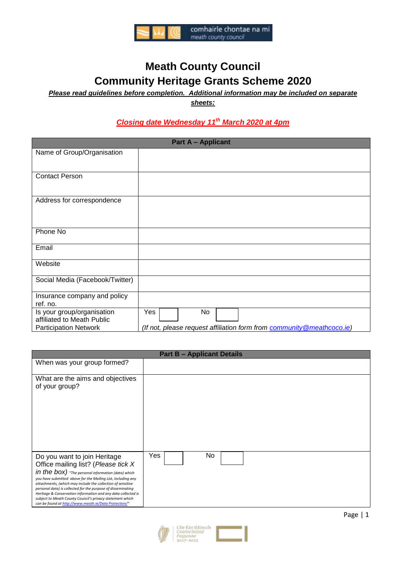

# **Meath County Council Community Heritage Grants Scheme 2020**

*Please read guidelines before completion. Additional information may be included on separate* 

*sheets:*

# *Closing date Wednesday 11 th March 2020 at 4pm*

| <b>Part A - Applicant</b>       |                                                                        |  |
|---------------------------------|------------------------------------------------------------------------|--|
| Name of Group/Organisation      |                                                                        |  |
|                                 |                                                                        |  |
| <b>Contact Person</b>           |                                                                        |  |
|                                 |                                                                        |  |
| Address for correspondence      |                                                                        |  |
|                                 |                                                                        |  |
|                                 |                                                                        |  |
| Phone No                        |                                                                        |  |
| Email                           |                                                                        |  |
| Website                         |                                                                        |  |
|                                 |                                                                        |  |
| Social Media (Facebook/Twitter) |                                                                        |  |
| Insurance company and policy    |                                                                        |  |
| ref. no.                        |                                                                        |  |
| Is your group/organisation      | Yes<br><b>No</b>                                                       |  |
| affiliated to Meath Public      |                                                                        |  |
| <b>Participation Network</b>    | (If not, please request affiliation form from community @meathcoco.ie) |  |

| <b>Part B - Applicant Details</b>                                                                                                                                                                                                                                                                                                                                                                                                                                                                               |            |  |
|-----------------------------------------------------------------------------------------------------------------------------------------------------------------------------------------------------------------------------------------------------------------------------------------------------------------------------------------------------------------------------------------------------------------------------------------------------------------------------------------------------------------|------------|--|
| When was your group formed?                                                                                                                                                                                                                                                                                                                                                                                                                                                                                     |            |  |
| What are the aims and objectives<br>of your group?                                                                                                                                                                                                                                                                                                                                                                                                                                                              |            |  |
| Do you want to join Heritage<br>Office mailing list? (Please tick X<br>in the box) "The personal information (data) which<br>you have submitted above for the Mailing List, including any<br>attachments, (which may include the collection of sensitive<br>personal data) is collected for the purpose of disseminating<br>Heritage & Conservation information and any data collected is<br>subject to Meath County Council's privacy statement which<br>can be found at http://www.meath.ie/Data Protection/" | Yes<br>No. |  |

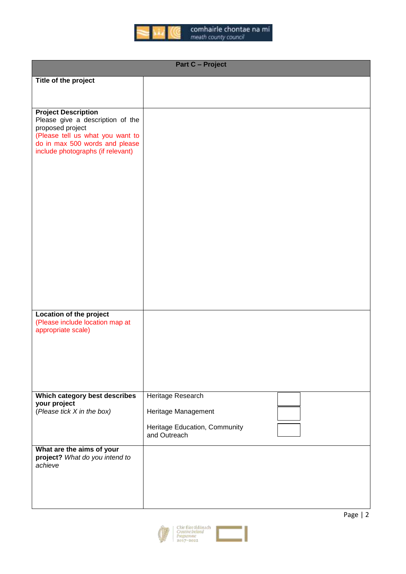

| <b>Part C - Project</b>                                                                                                                                                                       |                                                                                           |  |  |
|-----------------------------------------------------------------------------------------------------------------------------------------------------------------------------------------------|-------------------------------------------------------------------------------------------|--|--|
| Title of the project                                                                                                                                                                          |                                                                                           |  |  |
|                                                                                                                                                                                               |                                                                                           |  |  |
| <b>Project Description</b><br>Please give a description of the<br>proposed project<br>(Please tell us what you want to<br>do in max 500 words and please<br>include photographs (if relevant) |                                                                                           |  |  |
| Location of the project<br>(Please include location map at<br>appropriate scale)                                                                                                              |                                                                                           |  |  |
| Which category best describes<br>your project<br>(Please tick X in the box)                                                                                                                   | Heritage Research<br>Heritage Management<br>Heritage Education, Community<br>and Outreach |  |  |
| What are the aims of your<br>project? What do you intend to<br>achieve                                                                                                                        |                                                                                           |  |  |

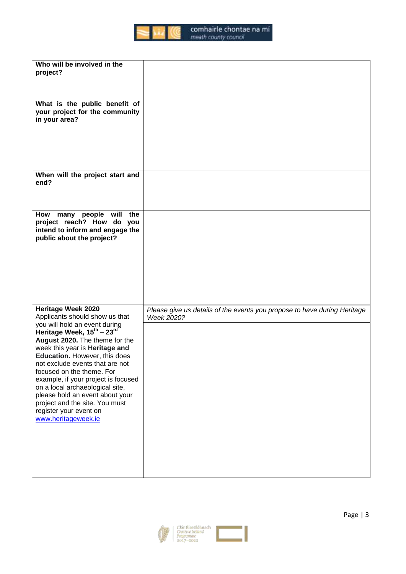

| Who will be involved in the<br>project?                                                                                                                                                                                                                                                                                                                                                                                                                                                                                 |                                                                                        |
|-------------------------------------------------------------------------------------------------------------------------------------------------------------------------------------------------------------------------------------------------------------------------------------------------------------------------------------------------------------------------------------------------------------------------------------------------------------------------------------------------------------------------|----------------------------------------------------------------------------------------|
| What is the public benefit of<br>your project for the community<br>in your area?                                                                                                                                                                                                                                                                                                                                                                                                                                        |                                                                                        |
| When will the project start and<br>end?                                                                                                                                                                                                                                                                                                                                                                                                                                                                                 |                                                                                        |
| How many people will<br>the<br>project reach? How do you<br>intend to inform and engage the<br>public about the project?                                                                                                                                                                                                                                                                                                                                                                                                |                                                                                        |
| <b>Heritage Week 2020</b><br>Applicants should show us that<br>you will hold an event during<br>Heritage Week, 15 <sup>th</sup> – 23 <sup>rd</sup><br>August 2020. The theme for the<br>week this year is Heritage and<br>Education. However, this does<br>not exclude events that are not<br>focused on the theme. For<br>example, if your project is focused<br>on a local archaeological site,<br>please hold an event about your<br>project and the site. You must<br>register your event on<br>www.heritageweek.ie | Please give us details of the events you propose to have during Heritage<br>Week 2020? |

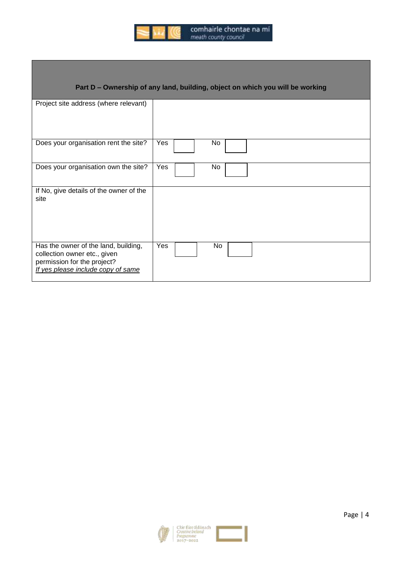

| comhairle chontae na mí |  |  |  |
|-------------------------|--|--|--|
| meath county council    |  |  |  |

# **Part D – Ownership of any land, building, object on which you will be working**

| Project site address (where relevant)                                                                                                     |           |
|-------------------------------------------------------------------------------------------------------------------------------------------|-----------|
| Does your organisation rent the site?                                                                                                     | Yes<br>No |
| Does your organisation own the site?                                                                                                      | Yes<br>No |
| If No, give details of the owner of the<br>site                                                                                           |           |
| Has the owner of the land, building,<br>collection owner etc., given<br>permission for the project?<br>If yes please include copy of same | Yes<br>No |

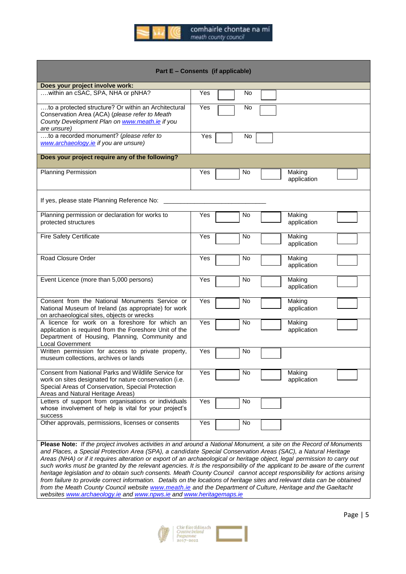

|                                                                                                                                                                                                          | Part E - Consents (if applicable)                                                                                                                                                                                                          |
|----------------------------------------------------------------------------------------------------------------------------------------------------------------------------------------------------------|--------------------------------------------------------------------------------------------------------------------------------------------------------------------------------------------------------------------------------------------|
| Does your project involve work:                                                                                                                                                                          |                                                                                                                                                                                                                                            |
| within an cSAC, SPA, NHA or pNHA?                                                                                                                                                                        | Yes<br>No                                                                                                                                                                                                                                  |
| to a protected structure? Or within an Architectural<br>Conservation Area (ACA) (please refer to Meath<br>County Development Plan on www.meath.ie if you<br>are unsure)                                  | Yes<br>No                                                                                                                                                                                                                                  |
| to a recorded monument? (please refer to<br>www.archaeology.ie if you are unsure)                                                                                                                        | Yes<br>No                                                                                                                                                                                                                                  |
| Does your project require any of the following?                                                                                                                                                          |                                                                                                                                                                                                                                            |
| <b>Planning Permission</b>                                                                                                                                                                               | Yes<br>Making<br>No<br>application                                                                                                                                                                                                         |
| If yes, please state Planning Reference No:                                                                                                                                                              |                                                                                                                                                                                                                                            |
| Planning permission or declaration for works to<br>protected structures                                                                                                                                  | Yes<br>Making<br>No<br>application                                                                                                                                                                                                         |
| <b>Fire Safety Certificate</b>                                                                                                                                                                           | Making<br>Yes<br>No<br>application                                                                                                                                                                                                         |
| Road Closure Order                                                                                                                                                                                       | Yes<br>Making<br>No<br>application                                                                                                                                                                                                         |
| Event Licence (more than 5,000 persons)                                                                                                                                                                  | Making<br>Yes<br>No.<br>application                                                                                                                                                                                                        |
| Consent from the National Monuments Service or<br>National Museum of Ireland (as appropriate) for work<br>on archaeological sites, objects or wrecks                                                     | Yes<br>Making<br>No<br>application                                                                                                                                                                                                         |
| A licence for work on a foreshore for which an<br>application is required from the Foreshore Unit of the<br>Department of Housing, Planning, Community and<br><b>Local Government</b>                    | Yes<br>No<br>Making<br>application                                                                                                                                                                                                         |
| Written permission for access to private property,<br>museum collections, archives or lands                                                                                                              | Yes<br>No                                                                                                                                                                                                                                  |
| Consent from National Parks and Wildlife Service for<br>work on sites designated for nature conservation (i.e.<br>Special Areas of Conservation, Special Protection<br>Areas and Natural Heritage Areas) | Yes<br>No<br>Making<br>application                                                                                                                                                                                                         |
| Letters of support from organisations or individuals<br>whose involvement of help is vital for your project's<br>success                                                                                 | Yes<br>No                                                                                                                                                                                                                                  |
| Other approvals, permissions, licenses or consents                                                                                                                                                       | Yes<br>No                                                                                                                                                                                                                                  |
|                                                                                                                                                                                                          | Please Note: If the project involves activities in and around a National Monument, a site on the Record of Monuments                                                                                                                       |
|                                                                                                                                                                                                          | and Places, a Special Protection Area (SPA), a candidate Special Conservation Areas (SAC), a Natural Heritage<br>Areas (NHA) or if it requires alteration or export of an archaeological or heritage object, legal permission to carry out |

such works must be granted by the relevant agencies. It is the responsibility of the applicant to be aware of the current heritage legislation and to obtain such consents. Meath County Council cannot accept responsibility for actions arising *from failure to provide correct information. Details on the locations of heritage sites and relevant data can be obtained from the Meath County Council website [www.meath.ie](http://www.meath.ie/) and the Department of Culture, Heritage and the Gaeltacht websites [www.archaeology.ie](http://www.archaeology.ie/) an[d www.npws.ie](http://www.npws.ie/) and [www.heritagemaps.ie](http://www.heritagemaps.ie/)*

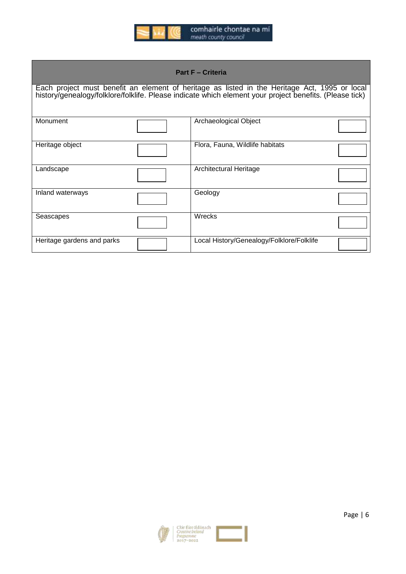

| <b>Part F - Criteria</b>   |  |                                                                                                                                                                                                          |  |  |
|----------------------------|--|----------------------------------------------------------------------------------------------------------------------------------------------------------------------------------------------------------|--|--|
|                            |  | Each project must benefit an element of heritage as listed in the Heritage Act, 1995 or local<br>history/genealogy/folklore/folklife. Please indicate which element your project benefits. (Please tick) |  |  |
| Monument                   |  | Archaeological Object                                                                                                                                                                                    |  |  |
| Heritage object            |  | Flora, Fauna, Wildlife habitats                                                                                                                                                                          |  |  |
| Landscape                  |  | Architectural Heritage                                                                                                                                                                                   |  |  |
| Inland waterways           |  | Geology                                                                                                                                                                                                  |  |  |
| Seascapes                  |  | Wrecks                                                                                                                                                                                                   |  |  |
| Heritage gardens and parks |  | Local History/Genealogy/Folklore/Folklife                                                                                                                                                                |  |  |



 $\overline{\phantom{a}}$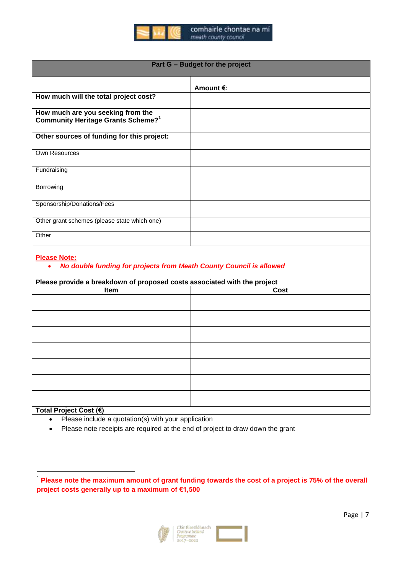

| Part G - Budget for the project                                                     |                     |  |
|-------------------------------------------------------------------------------------|---------------------|--|
|                                                                                     | Amount $\epsilon$ : |  |
| How much will the total project cost?                                               |                     |  |
| How much are you seeking from the<br>Community Heritage Grants Scheme? <sup>1</sup> |                     |  |
| Other sources of funding for this project:                                          |                     |  |
| Own Resources                                                                       |                     |  |
| Fundraising                                                                         |                     |  |
| Borrowing                                                                           |                     |  |
| Sponsorship/Donations/Fees                                                          |                     |  |
| Other grant schemes (please state which one)                                        |                     |  |
| Other                                                                               |                     |  |

## **Please Note:**

# *No double funding for projects from Meath County Council is allowed*

| Please provide a breakdown of proposed costs associated with the project |      |  |  |
|--------------------------------------------------------------------------|------|--|--|
| Item                                                                     | Cost |  |  |
|                                                                          |      |  |  |
|                                                                          |      |  |  |
|                                                                          |      |  |  |
|                                                                          |      |  |  |
|                                                                          |      |  |  |
|                                                                          |      |  |  |
|                                                                          |      |  |  |
|                                                                          |      |  |  |
|                                                                          |      |  |  |
|                                                                          |      |  |  |
|                                                                          |      |  |  |
|                                                                          |      |  |  |
|                                                                          |      |  |  |
| Tatal Dealast Cast (C)                                                   |      |  |  |

# **Total Project Cost (€)**

- Please include a quotation(s) with your application
- Please note receipts are required at the end of project to draw down the grant

 1 **Please note the maximum amount of grant funding towards the cost of a project is 75% of the overall project costs generally up to a maximum of €1,500**

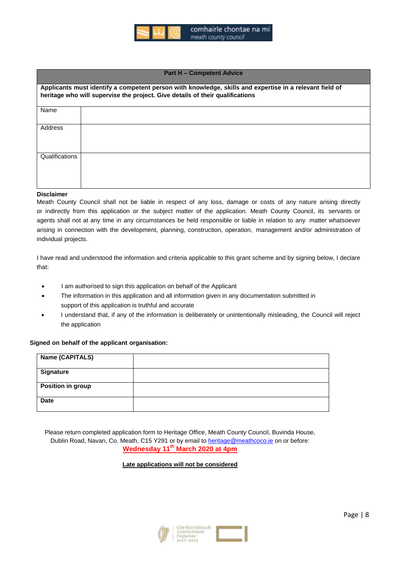

#### **Part H – Competent Advice**

|                | Applicants must identify a competent person with knowledge, skills and expertise in a relevant field of<br>heritage who will supervise the project. Give details of their qualifications |
|----------------|------------------------------------------------------------------------------------------------------------------------------------------------------------------------------------------|
| Name           |                                                                                                                                                                                          |
| Address        |                                                                                                                                                                                          |
| Qualifications |                                                                                                                                                                                          |

#### **Disclaimer**

Meath County Council shall not be liable in respect of any loss, damage or costs of any nature arising directly or indirectly from this application or the subject matter of the application. Meath County Council, its servants or agents shall not at any time in any circumstances be held responsible or liable in relation to any matter whatsoever arising in connection with the development, planning, construction, operation, management and/or administration of individual projects.

I have read and understood the information and criteria applicable to this grant scheme and by signing below, I declare that:

- I am authorised to sign this application on behalf of the Applicant
- The information in this application and all information given in any documentation submitted in support of this application is truthful and accurate
- I understand that, if any of the information is deliberately or unintentionally misleading, the Council will reject the application

### **Signed on behalf of the applicant organisation:**

| Name (CAPITALS)   |  |
|-------------------|--|
| <b>Signature</b>  |  |
| Position in group |  |
| <b>Date</b>       |  |

Please return completed application form to Heritage Office, Meath County Council, Buvinda House, Dublin Road, Navan, Co. Meath, C15 Y291 or by email to [heritage@meathcoco.ie](mailto:heritage@meathcoco.ie) on or before: **Wednesday 11 th March 2020 at 4pm**

### **Late applications will not be considered**